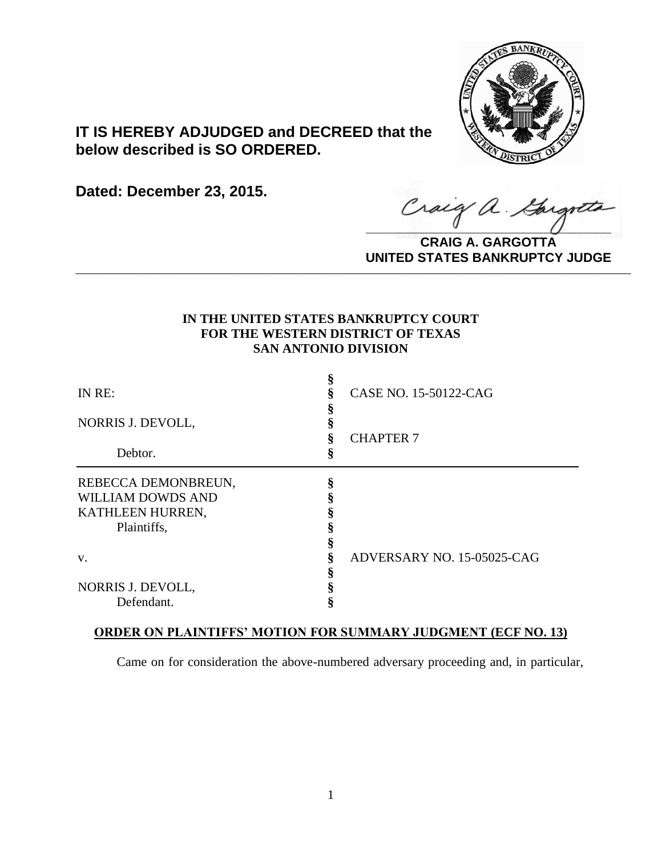

# **IT IS HEREBY ADJUDGED and DECREED that the below described is SO ORDERED.**

**Dated: December 23, 2015.**

Craig a Gargot

**CRAIG A. GARGOTTA UNITED STATES BANKRUPTCY JUDGE PRITED DIATED BARRACT TOT 00DCE** 

## **IN THE UNITED STATES BANKRUPTCY COURT FOR THE WESTERN DISTRICT OF TEXAS SAN ANTONIO DIVISION**

| IN RE:                   |   | CASE NO. 15-50122-CAG      |
|--------------------------|---|----------------------------|
| NORRIS J. DEVOLL,        |   |                            |
| Debtor.                  | 8 | <b>CHAPTER 7</b>           |
| REBECCA DEMONBREUN,      | ş |                            |
| <b>WILLIAM DOWDS AND</b> |   |                            |
| KATHLEEN HURREN,         |   |                            |
| Plaintiffs,              |   |                            |
|                          |   |                            |
| V.                       |   | ADVERSARY NO. 15-05025-CAG |
|                          |   |                            |
| NORRIS J. DEVOLL,        |   |                            |
| Defendant.               |   |                            |

# **ORDER ON PLAINTIFFS' MOTION FOR SUMMARY JUDGMENT (ECF NO. 13)**

Came on for consideration the above-numbered adversary proceeding and, in particular,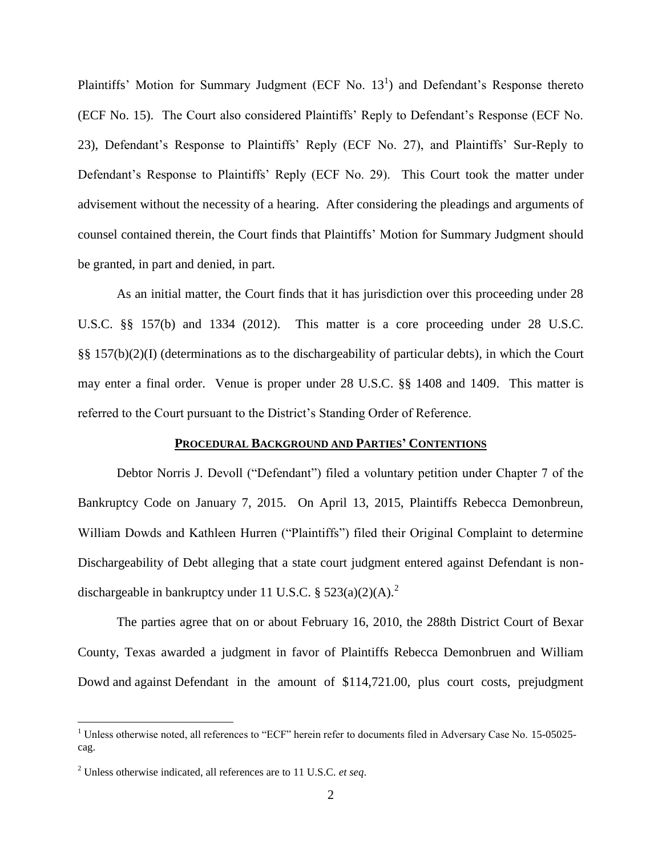Plaintiffs' Motion for Summary Judgment (ECF No.  $13<sup>1</sup>$ ) and Defendant's Response thereto (ECF No. 15). The Court also considered Plaintiffs' Reply to Defendant's Response (ECF No. 23), Defendant's Response to Plaintiffs' Reply (ECF No. 27), and Plaintiffs' Sur-Reply to Defendant's Response to Plaintiffs' Reply (ECF No. 29). This Court took the matter under advisement without the necessity of a hearing. After considering the pleadings and arguments of counsel contained therein, the Court finds that Plaintiffs' Motion for Summary Judgment should be granted, in part and denied, in part.

As an initial matter, the Court finds that it has jurisdiction over this proceeding under 28 U.S.C. §§ 157(b) and 1334 (2012). This matter is a core proceeding under 28 U.S.C. §§ 157(b)(2)(I) (determinations as to the dischargeability of particular debts), in which the Court may enter a final order. Venue is proper under 28 U.S.C. §§ 1408 and 1409. This matter is referred to the Court pursuant to the District's Standing Order of Reference.

#### **PROCEDURAL BACKGROUND AND PARTIES' CONTENTIONS**

Debtor Norris J. Devoll ("Defendant") filed a voluntary petition under Chapter 7 of the Bankruptcy Code on January 7, 2015. On April 13, 2015, Plaintiffs Rebecca Demonbreun, William Dowds and Kathleen Hurren ("Plaintiffs") filed their Original Complaint to determine Dischargeability of Debt alleging that a state court judgment entered against Defendant is nondischargeable in bankruptcy under 11 U.S.C. §  $523(a)(2)(A)$ .<sup>2</sup>

The parties agree that on or about February 16, 2010, the 288th District Court of Bexar County, Texas awarded a judgment in favor of Plaintiffs Rebecca Demonbruen and William Dowd and against Defendant in the amount of \$114,721.00, plus court costs, prejudgment

<sup>&</sup>lt;sup>1</sup> Unless otherwise noted, all references to "ECF" herein refer to documents filed in Adversary Case No. 15-05025cag.

<sup>2</sup> Unless otherwise indicated, all references are to 11 U.S.C. *et seq*.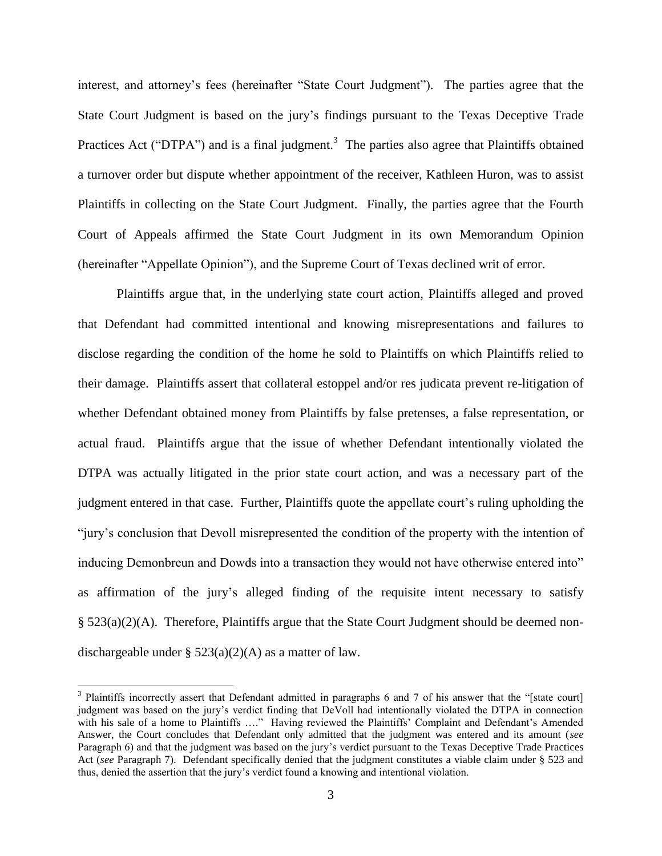interest, and attorney's fees (hereinafter "State Court Judgment"). The parties agree that the State Court Judgment is based on the jury's findings pursuant to the Texas Deceptive Trade Practices Act ("DTPA") and is a final judgment.<sup>3</sup> The parties also agree that Plaintiffs obtained a turnover order but dispute whether appointment of the receiver, Kathleen Huron, was to assist Plaintiffs in collecting on the State Court Judgment. Finally, the parties agree that the Fourth Court of Appeals affirmed the State Court Judgment in its own Memorandum Opinion (hereinafter "Appellate Opinion"), and the Supreme Court of Texas declined writ of error.

Plaintiffs argue that, in the underlying state court action, Plaintiffs alleged and proved that Defendant had committed intentional and knowing misrepresentations and failures to disclose regarding the condition of the home he sold to Plaintiffs on which Plaintiffs relied to their damage. Plaintiffs assert that collateral estoppel and/or res judicata prevent re-litigation of whether Defendant obtained money from Plaintiffs by false pretenses, a false representation, or actual fraud. Plaintiffs argue that the issue of whether Defendant intentionally violated the DTPA was actually litigated in the prior state court action, and was a necessary part of the judgment entered in that case. Further, Plaintiffs quote the appellate court's ruling upholding the "jury's conclusion that Devoll misrepresented the condition of the property with the intention of inducing Demonbreun and Dowds into a transaction they would not have otherwise entered into" as affirmation of the jury's alleged finding of the requisite intent necessary to satisfy § 523(a)(2)(A). Therefore, Plaintiffs argue that the State Court Judgment should be deemed nondischargeable under  $\S$  523(a)(2)(A) as a matter of law.

 $3$  Plaintiffs incorrectly assert that Defendant admitted in paragraphs 6 and 7 of his answer that the "[state court] judgment was based on the jury's verdict finding that DeVoll had intentionally violated the DTPA in connection with his sale of a home to Plaintiffs ...." Having reviewed the Plaintiffs' Complaint and Defendant's Amended Answer, the Court concludes that Defendant only admitted that the judgment was entered and its amount (*see* Paragraph 6) and that the judgment was based on the jury's verdict pursuant to the Texas Deceptive Trade Practices Act (*see* Paragraph 7). Defendant specifically denied that the judgment constitutes a viable claim under § 523 and thus, denied the assertion that the jury's verdict found a knowing and intentional violation.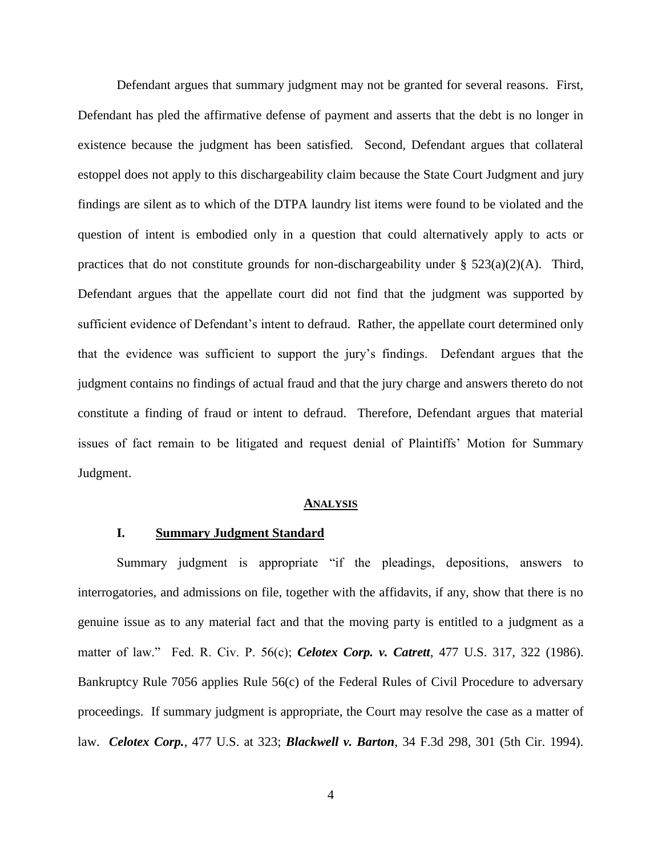Defendant argues that summary judgment may not be granted for several reasons. First, Defendant has pled the affirmative defense of payment and asserts that the debt is no longer in existence because the judgment has been satisfied. Second, Defendant argues that collateral estoppel does not apply to this dischargeability claim because the State Court Judgment and jury findings are silent as to which of the DTPA laundry list items were found to be violated and the question of intent is embodied only in a question that could alternatively apply to acts or practices that do not constitute grounds for non-dischargeability under  $\S$  523(a)(2)(A). Third, Defendant argues that the appellate court did not find that the judgment was supported by sufficient evidence of Defendant's intent to defraud. Rather, the appellate court determined only that the evidence was sufficient to support the jury's findings. Defendant argues that the judgment contains no findings of actual fraud and that the jury charge and answers thereto do not constitute a finding of fraud or intent to defraud. Therefore, Defendant argues that material issues of fact remain to be litigated and request denial of Plaintiffs' Motion for Summary Judgment.

#### **ANALYSIS**

### **I. Summary Judgment Standard**

Summary judgment is appropriate "if the pleadings, depositions, answers to interrogatories, and admissions on file, together with the affidavits, if any, show that there is no genuine issue as to any material fact and that the moving party is entitled to a judgment as a matter of law." Fed. R. Civ. P. 56(c); *Celotex Corp. v. Catrett*, 477 U.S. 317, 322 (1986). Bankruptcy Rule 7056 applies Rule 56(c) of the Federal Rules of Civil Procedure to adversary proceedings. If summary judgment is appropriate, the Court may resolve the case as a matter of law. *Celotex Corp.*, 477 U.S. at 323; *Blackwell v. Barton*, 34 F.3d 298, 301 (5th Cir. 1994).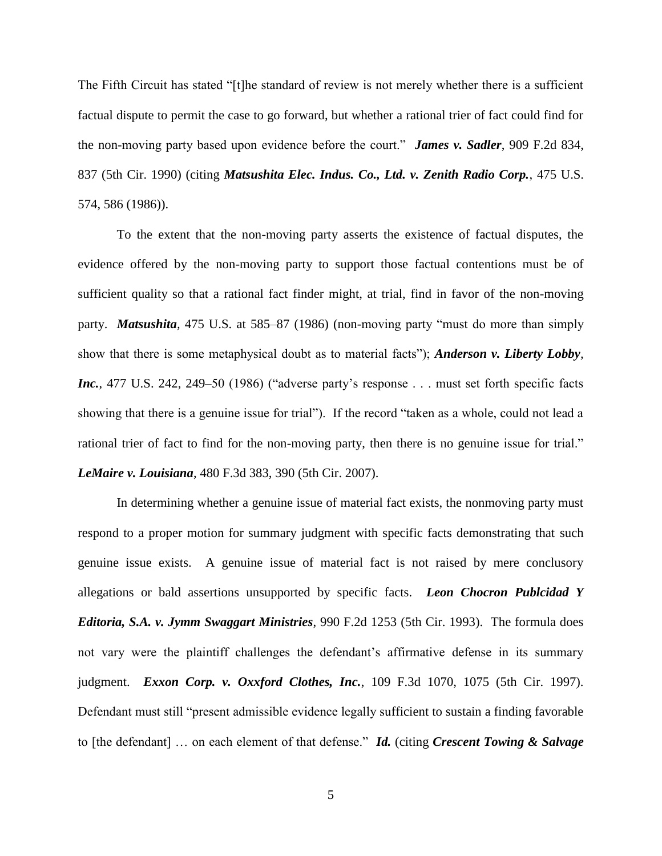The Fifth Circuit has stated "[t]he standard of review is not merely whether there is a sufficient factual dispute to permit the case to go forward, but whether a rational trier of fact could find for the non-moving party based upon evidence before the court." *James v. Sadler*, 909 F.2d 834, 837 (5th Cir. 1990) (citing *Matsushita Elec. Indus. Co., Ltd. v. Zenith Radio Corp.*, 475 U.S. 574, 586 (1986)).

To the extent that the non-moving party asserts the existence of factual disputes, the evidence offered by the non-moving party to support those factual contentions must be of sufficient quality so that a rational fact finder might, at trial, find in favor of the non-moving party. *Matsushita,* 475 U.S. at 585–87 (1986) (non-moving party "must do more than simply show that there is some metaphysical doubt as to material facts"); *Anderson v. Liberty Lobby, Inc.*, 477 U.S. 242, 249–50 (1986) ("adverse party's response . . . must set forth specific facts showing that there is a genuine issue for trial"). If the record "taken as a whole, could not lead a rational trier of fact to find for the non-moving party, then there is no genuine issue for trial." *LeMaire v. Louisiana*, 480 F.3d 383, 390 (5th Cir. 2007).

In determining whether a genuine issue of material fact exists, the nonmoving party must respond to a proper motion for summary judgment with specific facts demonstrating that such genuine issue exists. A genuine issue of material fact is not raised by mere conclusory allegations or bald assertions unsupported by specific facts. *Leon Chocron Publcidad Y Editoria, S.A. v. Jymm Swaggart Ministries*, 990 F.2d 1253 (5th Cir. 1993). The formula does not vary were the plaintiff challenges the defendant's affirmative defense in its summary judgment. *Exxon Corp. v. Oxxford Clothes, Inc.*, 109 F.3d 1070, 1075 (5th Cir. 1997). Defendant must still "present admissible evidence legally sufficient to sustain a finding favorable to [the defendant] … on each element of that defense." *Id.* (citing *Crescent Towing & Salvage*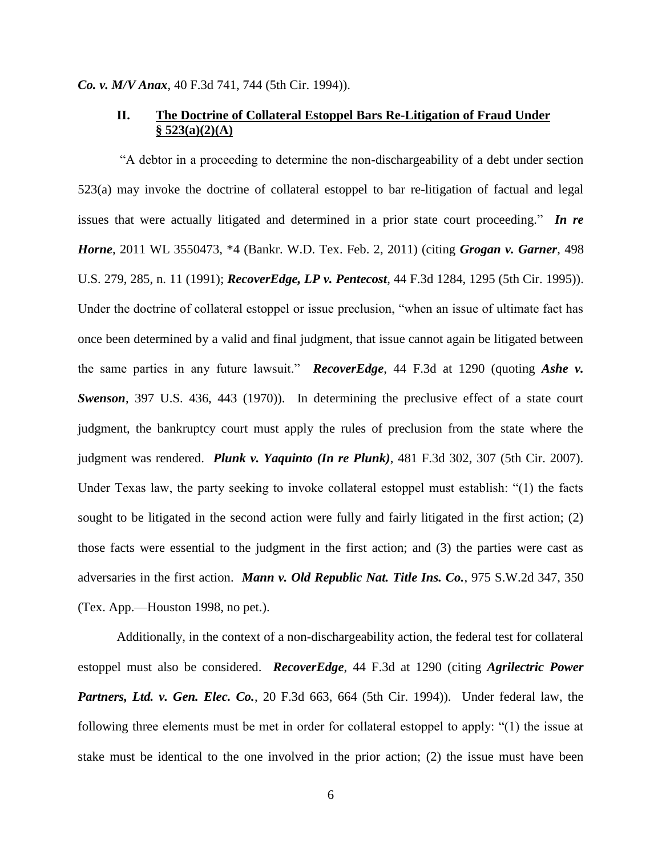*Co. v. M/V Anax*, 40 F.3d 741, 744 (5th Cir. 1994)).

## **II. The Doctrine of Collateral Estoppel Bars Re-Litigation of Fraud Under § 523(a)(2)(A)**

"A debtor in a proceeding to determine the non-dischargeability of a debt under section 523(a) may invoke the doctrine of collateral estoppel to bar re-litigation of factual and legal issues that were actually litigated and determined in a prior state court proceeding." *In re Horne*, 2011 WL 3550473, \*4 (Bankr. W.D. Tex. Feb. 2, 2011) (citing *Grogan v. Garner*, 498 U.S. 279, 285, n. 11 (1991); *RecoverEdge, LP v. Pentecost*, 44 F.3d 1284, 1295 (5th Cir. 1995)). Under the doctrine of collateral estoppel or issue preclusion, "when an issue of ultimate fact has once been determined by a valid and final judgment, that issue cannot again be litigated between the same parties in any future lawsuit." *RecoverEdge*, 44 F.3d at 1290 (quoting *Ashe v. Swenson*, 397 U.S. 436, 443 (1970)). In determining the preclusive effect of a state court judgment, the bankruptcy court must apply the rules of preclusion from the state where the judgment was rendered. *Plunk v. Yaquinto (In re Plunk)*, 481 F.3d 302, 307 (5th Cir. 2007). Under Texas law, the party seeking to invoke collateral estoppel must establish: "(1) the facts sought to be litigated in the second action were fully and fairly litigated in the first action; (2) those facts were essential to the judgment in the first action; and (3) the parties were cast as adversaries in the first action. *Mann v. Old Republic Nat. Title Ins. Co.*, 975 S.W.2d 347, 350 (Tex. App.—Houston 1998, no pet.).

Additionally, in the context of a non-dischargeability action, the federal test for collateral estoppel must also be considered. *RecoverEdge*, 44 F.3d at 1290 (citing *Agrilectric Power Partners, Ltd. v. Gen. Elec. Co.*, 20 F.3d 663, 664 (5th Cir. 1994)). Under federal law, the following three elements must be met in order for collateral estoppel to apply: "(1) the issue at stake must be identical to the one involved in the prior action; (2) the issue must have been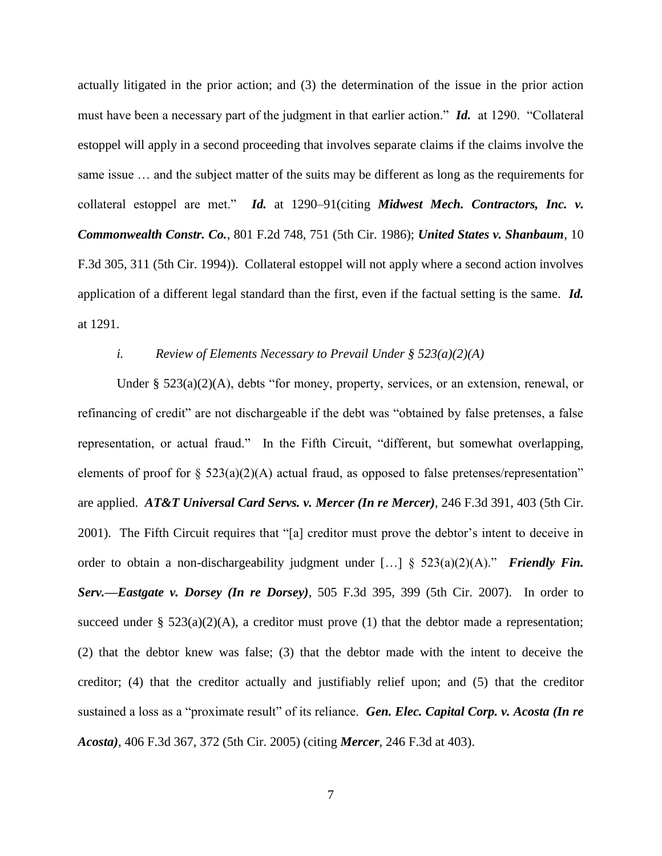actually litigated in the prior action; and (3) the determination of the issue in the prior action must have been a necessary part of the judgment in that earlier action." *Id.* at 1290. "Collateral estoppel will apply in a second proceeding that involves separate claims if the claims involve the same issue … and the subject matter of the suits may be different as long as the requirements for collateral estoppel are met." *Id.* at 1290–91(citing *Midwest Mech. Contractors, Inc. v. Commonwealth Constr. Co.*, 801 F.2d 748, 751 (5th Cir. 1986); *United States v. Shanbaum*, 10 F.3d 305, 311 (5th Cir. 1994)). Collateral estoppel will not apply where a second action involves application of a different legal standard than the first, even if the factual setting is the same. *Id.* at 1291.

## *i. Review of Elements Necessary to Prevail Under § 523(a)(2)(A)*

Under § 523(a)(2)(A), debts "for money, property, services, or an extension, renewal, or refinancing of credit" are not dischargeable if the debt was "obtained by false pretenses, a false representation, or actual fraud." In the Fifth Circuit, "different, but somewhat overlapping, elements of proof for  $\S 523(a)(2)(A)$  actual fraud, as opposed to false pretenses/representation" are applied. *AT&T Universal Card Servs. v. Mercer (In re Mercer)*, 246 F.3d 391, 403 (5th Cir. 2001). The Fifth Circuit requires that "[a] creditor must prove the debtor's intent to deceive in order to obtain a non-dischargeability judgment under […] § 523(a)(2)(A)." *Friendly Fin. Serv.—Eastgate v. Dorsey (In re Dorsey)*, 505 F.3d 395, 399 (5th Cir. 2007). In order to succeed under §  $523(a)(2)(A)$ , a creditor must prove (1) that the debtor made a representation; (2) that the debtor knew was false; (3) that the debtor made with the intent to deceive the creditor; (4) that the creditor actually and justifiably relief upon; and (5) that the creditor sustained a loss as a "proximate result" of its reliance. *Gen. Elec. Capital Corp. v. Acosta (In re Acosta)*, 406 F.3d 367, 372 (5th Cir. 2005) (citing *Mercer*, 246 F.3d at 403).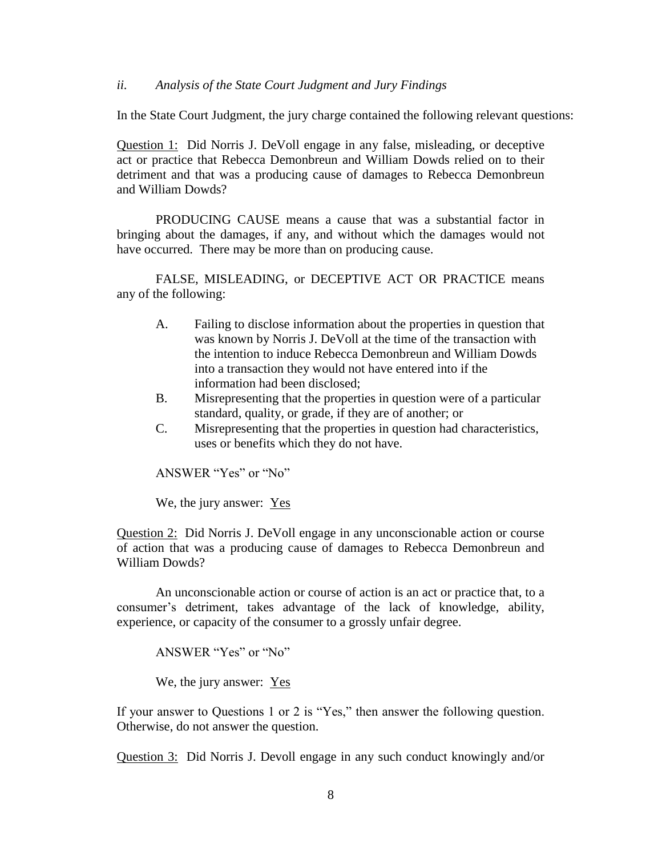#### *ii. Analysis of the State Court Judgment and Jury Findings*

In the State Court Judgment, the jury charge contained the following relevant questions:

Question 1: Did Norris J. DeVoll engage in any false, misleading, or deceptive act or practice that Rebecca Demonbreun and William Dowds relied on to their detriment and that was a producing cause of damages to Rebecca Demonbreun and William Dowds?

PRODUCING CAUSE means a cause that was a substantial factor in bringing about the damages, if any, and without which the damages would not have occurred. There may be more than on producing cause.

FALSE, MISLEADING, or DECEPTIVE ACT OR PRACTICE means any of the following:

- A. Failing to disclose information about the properties in question that was known by Norris J. DeVoll at the time of the transaction with the intention to induce Rebecca Demonbreun and William Dowds into a transaction they would not have entered into if the information had been disclosed;
- B. Misrepresenting that the properties in question were of a particular standard, quality, or grade, if they are of another; or
- C. Misrepresenting that the properties in question had characteristics, uses or benefits which they do not have.

ANSWER "Yes" or "No"

We, the jury answer: Yes

Question 2: Did Norris J. DeVoll engage in any unconscionable action or course of action that was a producing cause of damages to Rebecca Demonbreun and William Dowds?

An unconscionable action or course of action is an act or practice that, to a consumer's detriment, takes advantage of the lack of knowledge, ability, experience, or capacity of the consumer to a grossly unfair degree.

ANSWER "Yes" or "No"

We, the jury answer:  $Yes$ </u>

If your answer to Questions 1 or 2 is "Yes," then answer the following question. Otherwise, do not answer the question.

Question 3: Did Norris J. Devoll engage in any such conduct knowingly and/or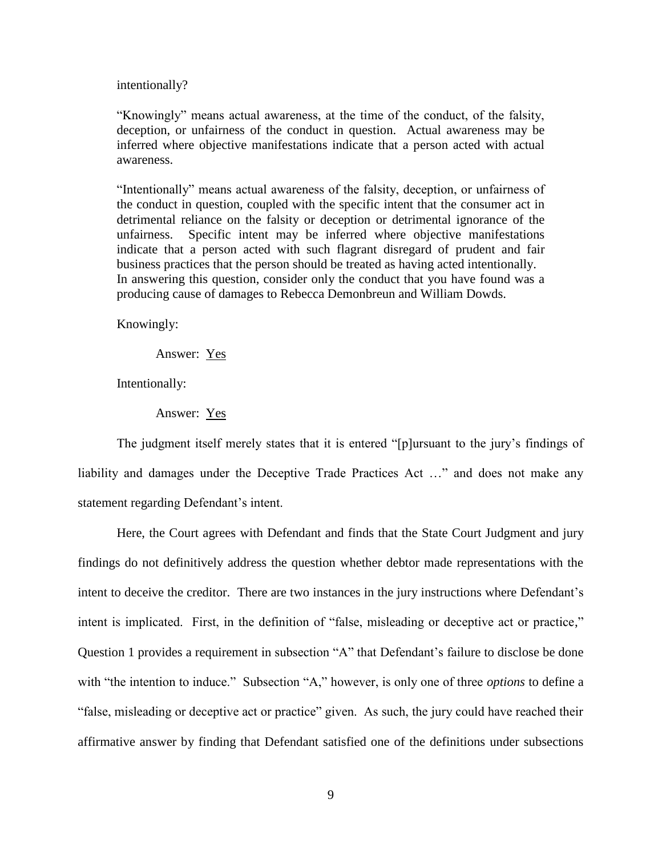intentionally?

"Knowingly" means actual awareness, at the time of the conduct, of the falsity, deception, or unfairness of the conduct in question. Actual awareness may be inferred where objective manifestations indicate that a person acted with actual awareness.

"Intentionally" means actual awareness of the falsity, deception, or unfairness of the conduct in question, coupled with the specific intent that the consumer act in detrimental reliance on the falsity or deception or detrimental ignorance of the unfairness. Specific intent may be inferred where objective manifestations indicate that a person acted with such flagrant disregard of prudent and fair business practices that the person should be treated as having acted intentionally. In answering this question, consider only the conduct that you have found was a producing cause of damages to Rebecca Demonbreun and William Dowds.

Knowingly:

Answer: Yes

Intentionally:

Answer: Yes

The judgment itself merely states that it is entered "[p]ursuant to the jury's findings of liability and damages under the Deceptive Trade Practices Act …" and does not make any statement regarding Defendant's intent.

Here, the Court agrees with Defendant and finds that the State Court Judgment and jury findings do not definitively address the question whether debtor made representations with the intent to deceive the creditor. There are two instances in the jury instructions where Defendant's intent is implicated. First, in the definition of "false, misleading or deceptive act or practice," Question 1 provides a requirement in subsection "A" that Defendant's failure to disclose be done with "the intention to induce." Subsection "A," however, is only one of three *options* to define a "false, misleading or deceptive act or practice" given. As such, the jury could have reached their affirmative answer by finding that Defendant satisfied one of the definitions under subsections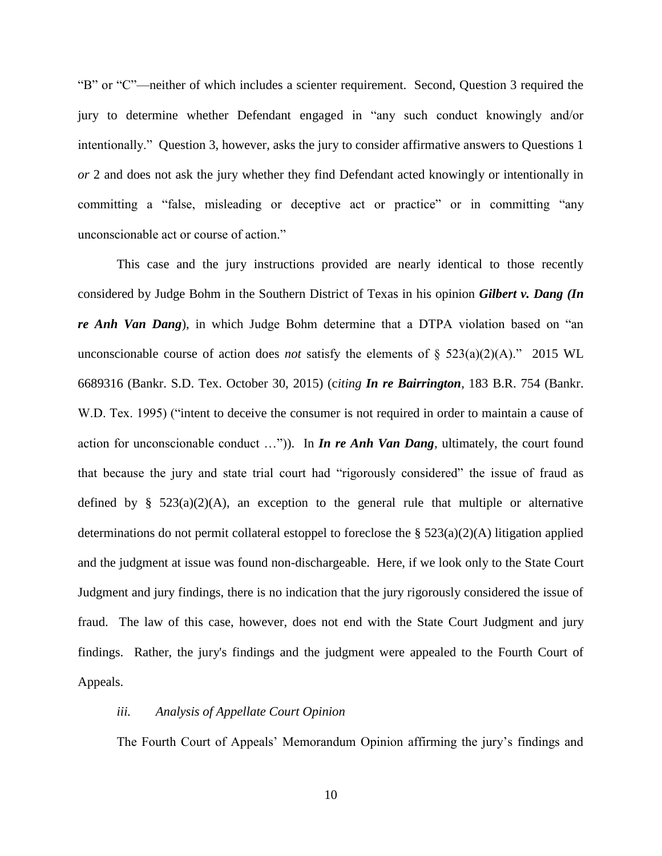"B" or "C"—neither of which includes a scienter requirement. Second, Question 3 required the jury to determine whether Defendant engaged in "any such conduct knowingly and/or intentionally." Question 3, however, asks the jury to consider affirmative answers to Questions 1 *or* 2 and does not ask the jury whether they find Defendant acted knowingly or intentionally in committing a "false, misleading or deceptive act or practice" or in committing "any unconscionable act or course of action."

This case and the jury instructions provided are nearly identical to those recently considered by Judge Bohm in the Southern District of Texas in his opinion *Gilbert v. Dang (In re Anh Van Dang*), in which Judge Bohm determine that a DTPA violation based on "an unconscionable course of action does *not* satisfy the elements of § 523(a)(2)(A)." 2015 WL 6689316 (Bankr. S.D. Tex. October 30, 2015) (c*iting In re Bairrington*, 183 B.R. 754 (Bankr. W.D. Tex. 1995) ("intent to deceive the consumer is not required in order to maintain a cause of action for unconscionable conduct …")). In *In re Anh Van Dang*, ultimately, the court found that because the jury and state trial court had "rigorously considered" the issue of fraud as defined by §  $523(a)(2)(A)$ , an exception to the general rule that multiple or alternative determinations do not permit collateral estoppel to foreclose the § 523(a)(2)(A) litigation applied and the judgment at issue was found non-dischargeable. Here, if we look only to the State Court Judgment and jury findings, there is no indication that the jury rigorously considered the issue of fraud. The law of this case, however, does not end with the State Court Judgment and jury findings. Rather, the jury's findings and the judgment were appealed to the Fourth Court of Appeals.

#### *iii. Analysis of Appellate Court Opinion*

The Fourth Court of Appeals' Memorandum Opinion affirming the jury's findings and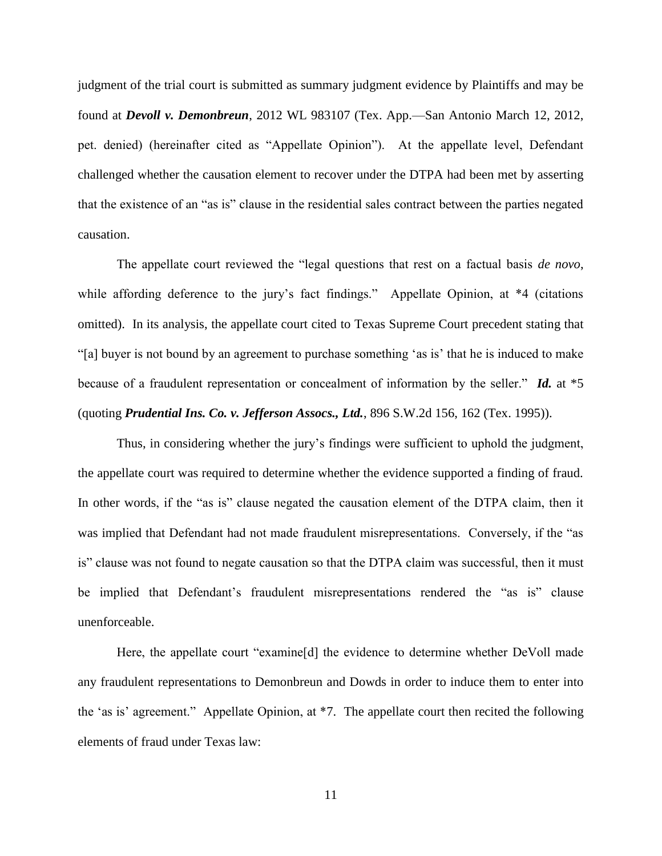judgment of the trial court is submitted as summary judgment evidence by Plaintiffs and may be found at *Devoll v. Demonbreun*, 2012 WL 983107 (Tex. App.—San Antonio March 12, 2012, pet. denied) (hereinafter cited as "Appellate Opinion"). At the appellate level, Defendant challenged whether the causation element to recover under the DTPA had been met by asserting that the existence of an "as is" clause in the residential sales contract between the parties negated causation.

The appellate court reviewed the "legal questions that rest on a factual basis *de novo*, while affording deference to the jury's fact findings." Appellate Opinion, at  $*4$  (citations omitted). In its analysis, the appellate court cited to Texas Supreme Court precedent stating that "[a] buyer is not bound by an agreement to purchase something 'as is' that he is induced to make because of a fraudulent representation or concealment of information by the seller." *Id.* at \*5 (quoting *Prudential Ins. Co. v. Jefferson Assocs., Ltd.*, 896 S.W.2d 156, 162 (Tex. 1995)).

Thus, in considering whether the jury's findings were sufficient to uphold the judgment, the appellate court was required to determine whether the evidence supported a finding of fraud. In other words, if the "as is" clause negated the causation element of the DTPA claim, then it was implied that Defendant had not made fraudulent misrepresentations. Conversely, if the "as is" clause was not found to negate causation so that the DTPA claim was successful, then it must be implied that Defendant's fraudulent misrepresentations rendered the "as is" clause unenforceable.

Here, the appellate court "examine[d] the evidence to determine whether DeVoll made any fraudulent representations to Demonbreun and Dowds in order to induce them to enter into the 'as is' agreement." Appellate Opinion, at \*7. The appellate court then recited the following elements of fraud under Texas law: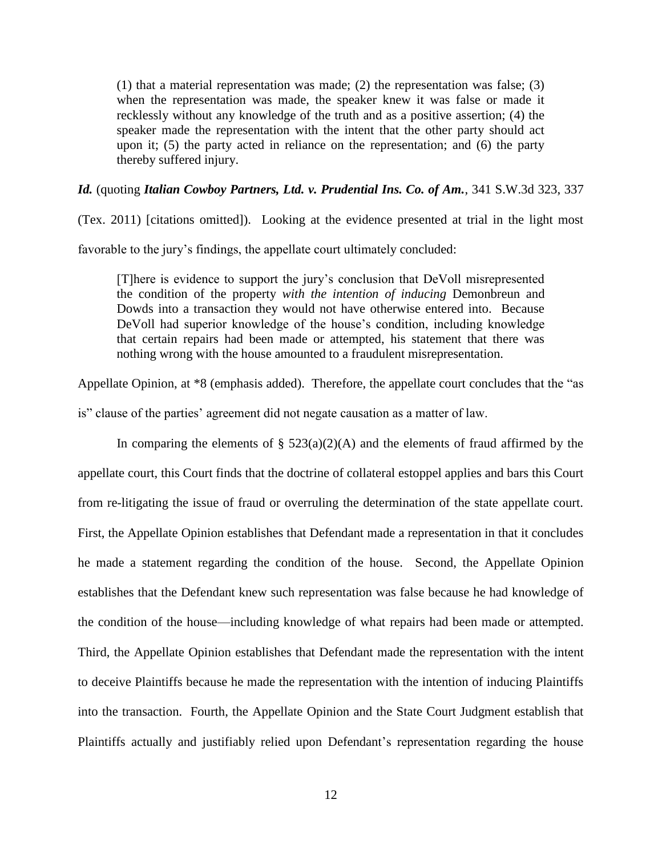(1) that a material representation was made; (2) the representation was false; (3) when the representation was made, the speaker knew it was false or made it recklessly without any knowledge of the truth and as a positive assertion; (4) the speaker made the representation with the intent that the other party should act upon it; (5) the party acted in reliance on the representation; and (6) the party thereby suffered injury.

#### *Id.* (quoting *Italian Cowboy Partners, Ltd. v. Prudential Ins. Co. of Am.*, 341 S.W.3d 323, 337

(Tex. 2011) [citations omitted]). Looking at the evidence presented at trial in the light most

favorable to the jury's findings, the appellate court ultimately concluded:

[T]here is evidence to support the jury's conclusion that DeVoll misrepresented the condition of the property *with the intention of inducing* Demonbreun and Dowds into a transaction they would not have otherwise entered into. Because DeVoll had superior knowledge of the house's condition, including knowledge that certain repairs had been made or attempted, his statement that there was nothing wrong with the house amounted to a fraudulent misrepresentation.

Appellate Opinion, at \*8 (emphasis added). Therefore, the appellate court concludes that the "as

is" clause of the parties' agreement did not negate causation as a matter of law.

In comparing the elements of  $\S$  523(a)(2)(A) and the elements of fraud affirmed by the appellate court, this Court finds that the doctrine of collateral estoppel applies and bars this Court from re-litigating the issue of fraud or overruling the determination of the state appellate court. First, the Appellate Opinion establishes that Defendant made a representation in that it concludes he made a statement regarding the condition of the house. Second, the Appellate Opinion establishes that the Defendant knew such representation was false because he had knowledge of the condition of the house—including knowledge of what repairs had been made or attempted. Third, the Appellate Opinion establishes that Defendant made the representation with the intent to deceive Plaintiffs because he made the representation with the intention of inducing Plaintiffs into the transaction. Fourth, the Appellate Opinion and the State Court Judgment establish that Plaintiffs actually and justifiably relied upon Defendant's representation regarding the house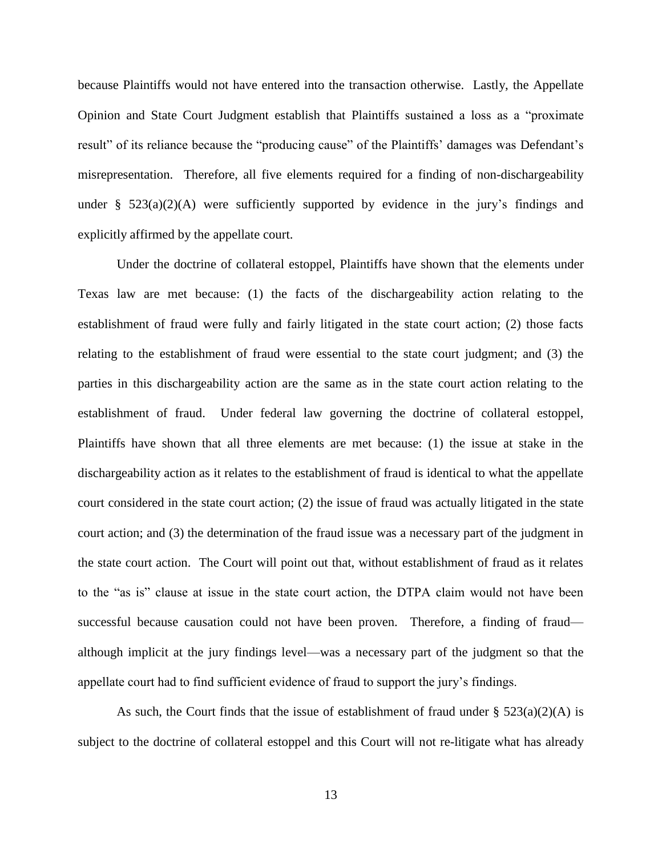because Plaintiffs would not have entered into the transaction otherwise. Lastly, the Appellate Opinion and State Court Judgment establish that Plaintiffs sustained a loss as a "proximate result" of its reliance because the "producing cause" of the Plaintiffs' damages was Defendant's misrepresentation. Therefore, all five elements required for a finding of non-dischargeability under  $\S$  523(a)(2)(A) were sufficiently supported by evidence in the jury's findings and explicitly affirmed by the appellate court.

Under the doctrine of collateral estoppel, Plaintiffs have shown that the elements under Texas law are met because: (1) the facts of the dischargeability action relating to the establishment of fraud were fully and fairly litigated in the state court action; (2) those facts relating to the establishment of fraud were essential to the state court judgment; and (3) the parties in this dischargeability action are the same as in the state court action relating to the establishment of fraud. Under federal law governing the doctrine of collateral estoppel, Plaintiffs have shown that all three elements are met because: (1) the issue at stake in the dischargeability action as it relates to the establishment of fraud is identical to what the appellate court considered in the state court action; (2) the issue of fraud was actually litigated in the state court action; and (3) the determination of the fraud issue was a necessary part of the judgment in the state court action. The Court will point out that, without establishment of fraud as it relates to the "as is" clause at issue in the state court action, the DTPA claim would not have been successful because causation could not have been proven. Therefore, a finding of fraud although implicit at the jury findings level—was a necessary part of the judgment so that the appellate court had to find sufficient evidence of fraud to support the jury's findings.

As such, the Court finds that the issue of establishment of fraud under  $\S$  523(a)(2)(A) is subject to the doctrine of collateral estoppel and this Court will not re-litigate what has already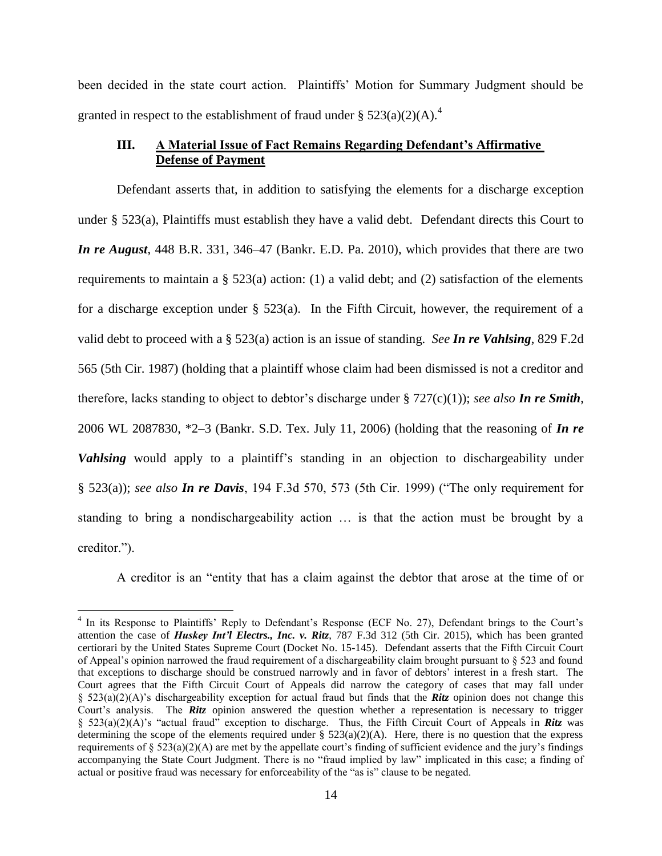been decided in the state court action. Plaintiffs' Motion for Summary Judgment should be granted in respect to the establishment of fraud under §  $523(a)(2)(A)$ .<sup>4</sup>

# **III. A Material Issue of Fact Remains Regarding Defendant's Affirmative Defense of Payment**

Defendant asserts that, in addition to satisfying the elements for a discharge exception under § 523(a), Plaintiffs must establish they have a valid debt. Defendant directs this Court to *In re August*, 448 B.R. 331, 346–47 (Bankr. E.D. Pa. 2010), which provides that there are two requirements to maintain a  $\S$  523(a) action: (1) a valid debt; and (2) satisfaction of the elements for a discharge exception under  $\S$  523(a). In the Fifth Circuit, however, the requirement of a valid debt to proceed with a § 523(a) action is an issue of standing. *See In re Vahlsing*, 829 F.2d 565 (5th Cir. 1987) (holding that a plaintiff whose claim had been dismissed is not a creditor and therefore, lacks standing to object to debtor's discharge under § 727(c)(1)); *see also In re Smith*, 2006 WL 2087830, \*2–3 (Bankr. S.D. Tex. July 11, 2006) (holding that the reasoning of *In re Vahlsing* would apply to a plaintiff's standing in an objection to dischargeability under § 523(a)); *see also In re Davis*, 194 F.3d 570, 573 (5th Cir. 1999) ("The only requirement for standing to bring a nondischargeability action … is that the action must be brought by a creditor.").

A creditor is an "entity that has a claim against the debtor that arose at the time of or

<sup>&</sup>lt;sup>4</sup> In its Response to Plaintiffs' Reply to Defendant's Response (ECF No. 27), Defendant brings to the Court's attention the case of *Huskey Int'l Electrs., Inc. v. Ritz*, 787 F.3d 312 (5th Cir. 2015), which has been granted certiorari by the United States Supreme Court (Docket No. 15-145). Defendant asserts that the Fifth Circuit Court of Appeal's opinion narrowed the fraud requirement of a dischargeability claim brought pursuant to § 523 and found that exceptions to discharge should be construed narrowly and in favor of debtors' interest in a fresh start. The Court agrees that the Fifth Circuit Court of Appeals did narrow the category of cases that may fall under § 523(a)(2)(A)'s dischargeability exception for actual fraud but finds that the *Ritz* opinion does not change this Court's analysis. The *Ritz* opinion answered the question whether a representation is necessary to trigger § 523(a)(2)(A)'s "actual fraud" exception to discharge. Thus, the Fifth Circuit Court of Appeals in *Ritz* was determining the scope of the elements required under §  $523(a)(2)(A)$ . Here, there is no question that the express requirements of  $\S 523(a)(2)(A)$  are met by the appellate court's finding of sufficient evidence and the jury's findings accompanying the State Court Judgment. There is no "fraud implied by law" implicated in this case; a finding of actual or positive fraud was necessary for enforceability of the "as is" clause to be negated.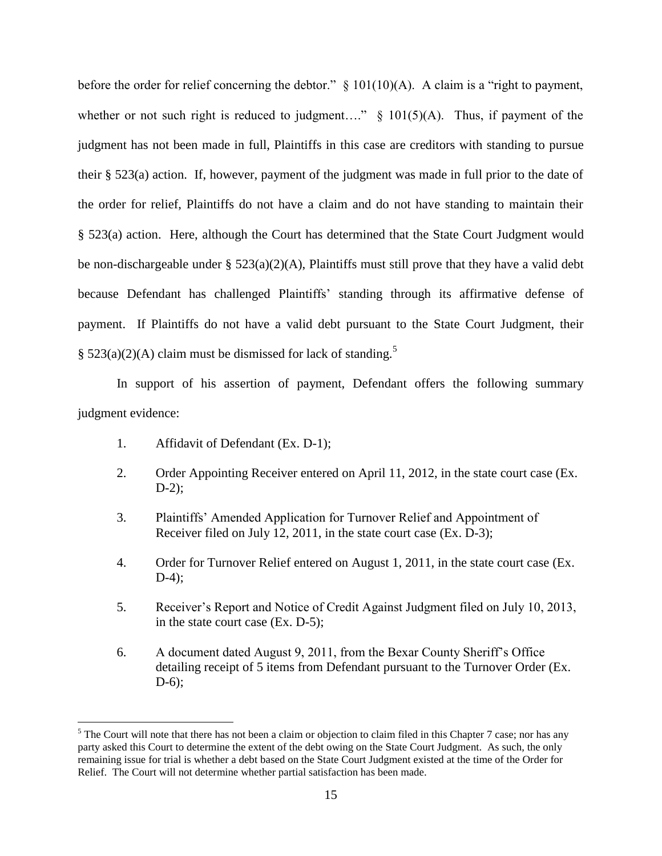before the order for relief concerning the debtor."  $\S$  101(10)(A). A claim is a "right to payment, whether or not such right is reduced to judgment...."  $\S$  101(5)(A). Thus, if payment of the judgment has not been made in full, Plaintiffs in this case are creditors with standing to pursue their § 523(a) action. If, however, payment of the judgment was made in full prior to the date of the order for relief, Plaintiffs do not have a claim and do not have standing to maintain their § 523(a) action. Here, although the Court has determined that the State Court Judgment would be non-dischargeable under § 523(a)(2)(A), Plaintiffs must still prove that they have a valid debt because Defendant has challenged Plaintiffs' standing through its affirmative defense of payment. If Plaintiffs do not have a valid debt pursuant to the State Court Judgment, their § 523(a)(2)(A) claim must be dismissed for lack of standing.<sup>5</sup>

In support of his assertion of payment, Defendant offers the following summary judgment evidence:

1. Affidavit of Defendant (Ex. D-1);

- 2. Order Appointing Receiver entered on April 11, 2012, in the state court case (Ex. D-2);
- 3. Plaintiffs' Amended Application for Turnover Relief and Appointment of Receiver filed on July 12, 2011, in the state court case (Ex. D-3);
- 4. Order for Turnover Relief entered on August 1, 2011, in the state court case (Ex.  $D-4$ :
- 5. Receiver's Report and Notice of Credit Against Judgment filed on July 10, 2013, in the state court case (Ex. D-5);
- 6. A document dated August 9, 2011, from the Bexar County Sheriff's Office detailing receipt of 5 items from Defendant pursuant to the Turnover Order (Ex.  $D-6$ ;

 $<sup>5</sup>$  The Court will note that there has not been a claim or objection to claim filed in this Chapter 7 case; nor has any</sup> party asked this Court to determine the extent of the debt owing on the State Court Judgment. As such, the only remaining issue for trial is whether a debt based on the State Court Judgment existed at the time of the Order for Relief. The Court will not determine whether partial satisfaction has been made.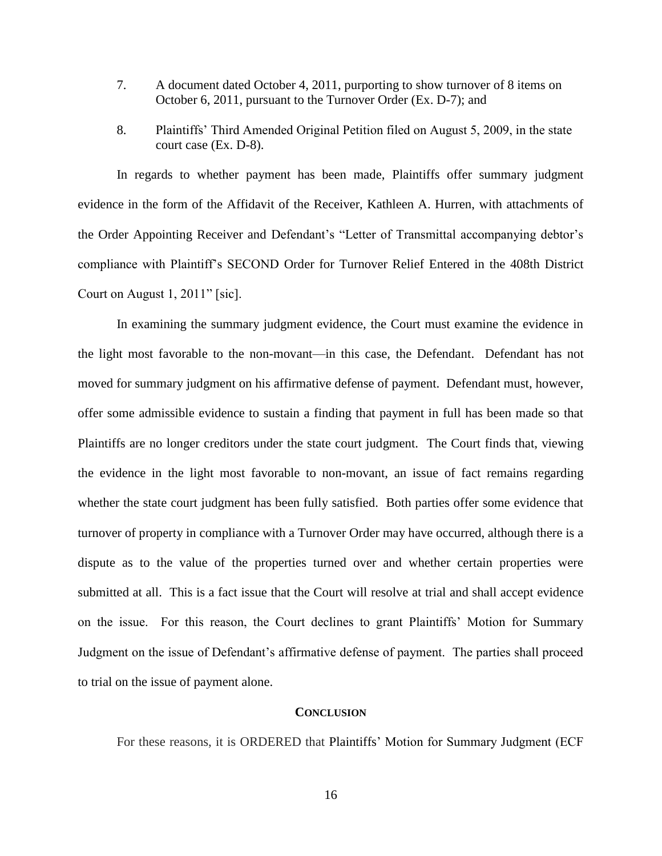- 7. A document dated October 4, 2011, purporting to show turnover of 8 items on October 6, 2011, pursuant to the Turnover Order (Ex. D-7); and
- 8. Plaintiffs' Third Amended Original Petition filed on August 5, 2009, in the state court case (Ex. D-8).

In regards to whether payment has been made, Plaintiffs offer summary judgment evidence in the form of the Affidavit of the Receiver, Kathleen A. Hurren, with attachments of the Order Appointing Receiver and Defendant's "Letter of Transmittal accompanying debtor's compliance with Plaintiff's SECOND Order for Turnover Relief Entered in the 408th District Court on August 1, 2011" [sic].

In examining the summary judgment evidence, the Court must examine the evidence in the light most favorable to the non-movant—in this case, the Defendant. Defendant has not moved for summary judgment on his affirmative defense of payment. Defendant must, however, offer some admissible evidence to sustain a finding that payment in full has been made so that Plaintiffs are no longer creditors under the state court judgment. The Court finds that, viewing the evidence in the light most favorable to non-movant, an issue of fact remains regarding whether the state court judgment has been fully satisfied. Both parties offer some evidence that turnover of property in compliance with a Turnover Order may have occurred, although there is a dispute as to the value of the properties turned over and whether certain properties were submitted at all. This is a fact issue that the Court will resolve at trial and shall accept evidence on the issue. For this reason, the Court declines to grant Plaintiffs' Motion for Summary Judgment on the issue of Defendant's affirmative defense of payment. The parties shall proceed to trial on the issue of payment alone.

#### **CONCLUSION**

For these reasons, it is ORDERED that Plaintiffs' Motion for Summary Judgment (ECF